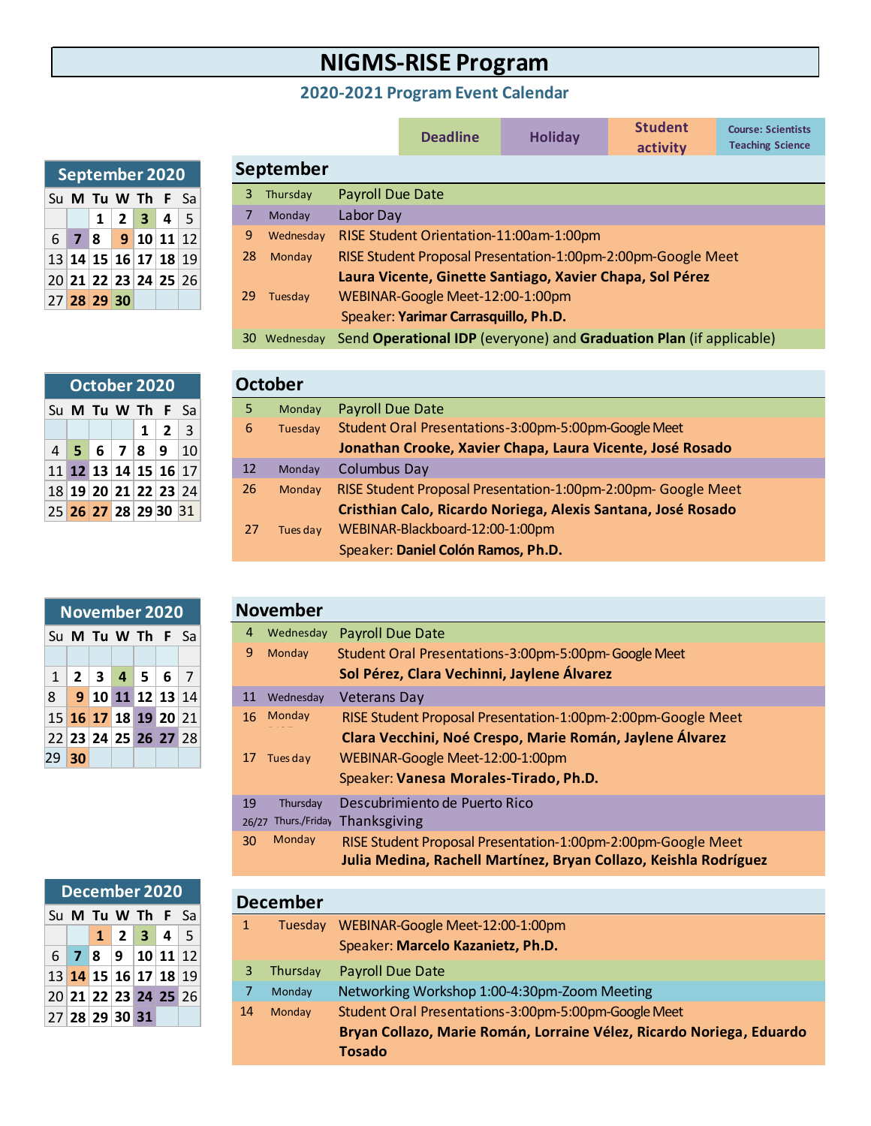## **NIGMS-RISE Program**

## **2020-2021 Program Event Calendar**

|    |           |                  | <b>Deadline</b>                         | <b>Holiday</b>                                                      | <b>Student</b><br>activity | <b>Course: Scientists</b><br><b>Teaching Science</b> |
|----|-----------|------------------|-----------------------------------------|---------------------------------------------------------------------|----------------------------|------------------------------------------------------|
|    | September |                  |                                         |                                                                     |                            |                                                      |
| 3  | Thursday  | Payroll Due Date |                                         |                                                                     |                            |                                                      |
| 7  | Monday    | Labor Day        |                                         |                                                                     |                            |                                                      |
| 9  | Wednesday |                  | RISE Student Orientation-11:00am-1:00pm |                                                                     |                            |                                                      |
| 28 | Monday    |                  |                                         | RISE Student Proposal Presentation-1:00pm-2:00pm-Google Meet        |                            |                                                      |
| 29 | Tuesday   |                  | WEBINAR-Google Meet-12:00-1:00pm        | Laura Vicente, Ginette Santiago, Xavier Chapa, Sol Pérez            |                            |                                                      |
|    |           |                  | Speaker: Yarimar Carrasquillo, Ph.D.    |                                                                     |                            |                                                      |
| 30 | Wednesday |                  |                                         | Send Operational IDP (everyone) and Graduation Plan (if applicable) |                            |                                                      |

|  | October 2020 |  |                                        |  |
|--|--------------|--|----------------------------------------|--|
|  |              |  | Su <b>M</b> Tu <b>W</b> Th <b>F</b> Sa |  |
|  |              |  | $1 \mid 2 \mid 3$                      |  |
|  |              |  | $4$ 5 6 7 8 9 10                       |  |
|  |              |  | 11 12 13 14 15 16 17                   |  |
|  |              |  | 18 19 20 21 22 23 24                   |  |
|  |              |  | 25 26 27 28 29 30 31                   |  |

**September 2020** Su **M Tu W Th F** Sa

6 **7 8 9 10 11** 12 13 **14 15 16 17 18** 19 20 **21 22 23 24 25** 26

27 **28 29 30**

 $1$   $2$   $3$   $4$   $5$ 

|    |    | <b>November 2020</b>                   |  |  |                | <b>November</b> |
|----|----|----------------------------------------|--|--|----------------|-----------------|
|    |    | Su <b>M</b> Tu <b>W</b> Th <b>F</b> Sa |  |  | $\overline{4}$ | Wednesda        |
|    |    |                                        |  |  | 9              | Monday          |
|    |    | $1$   2   3   4   5   6                |  |  |                |                 |
| 8  |    | 9 10 11 12 13 14                       |  |  | 11             | Wednesday       |
|    |    | 15 16 17 18 19 20 21                   |  |  |                | 16 Monday       |
|    |    | 22 23 24 25 26 27 28                   |  |  |                |                 |
| 29 | 30 |                                        |  |  |                | Tues day        |

|  |                | December 2020        |  |
|--|----------------|----------------------|--|
|  |                | Su M Tu W Th F Sa    |  |
|  |                | $1$   2   3   4   5  |  |
|  |                | $6$ 7 8 9 10 11 12   |  |
|  |                | 13 14 15 16 17 18 19 |  |
|  |                | 20 21 22 23 24 25 26 |  |
|  | 27 28 29 30 31 |                      |  |

|    | <b>October</b> |                                                               |
|----|----------------|---------------------------------------------------------------|
| 5  | Monday         | <b>Payroll Due Date</b>                                       |
| 6  | Tuesday        | Student Oral Presentations-3:00pm-5:00pm-Google Meet          |
|    |                | Jonathan Crooke, Xavier Chapa, Laura Vicente, José Rosado     |
| 12 | Monday         | <b>Columbus Day</b>                                           |
| 26 | Monday         | RISE Student Proposal Presentation-1:00pm-2:00pm- Google Meet |
|    |                | Cristhian Calo, Ricardo Noriega, Alexis Santana, José Rosado  |
| 27 | Tues day       | WEBINAR-Blackboard-12:00-1:00pm                               |
|    |                | Speaker: Daniel Colón Ramos, Ph.D.                            |

|       | <b>November</b> |                                                                  |
|-------|-----------------|------------------------------------------------------------------|
| 4     | Wednesday       | <b>Payroll Due Date</b>                                          |
| 9     | Monday          | Student Oral Presentations-3:00pm-5:00pm-Google Meet             |
|       |                 | Sol Pérez, Clara Vechinni, Jaylene Álvarez                       |
| 11    | Wednesday       | <b>Veterans Day</b>                                              |
| 16    | Monday          | RISE Student Proposal Presentation-1:00pm-2:00pm-Google Meet     |
|       |                 | Clara Vecchini, Noé Crespo, Marie Román, Jaylene Álvarez         |
| 17    | Tues day        | WEBINAR-Google Meet-12:00-1:00pm                                 |
|       |                 | Speaker: Vanesa Morales-Tirado, Ph.D.                            |
| 19    | Thursday        | Descubrimiento de Puerto Rico                                    |
| 26/27 | Thurs./Friday   | Thanksgiving                                                     |
| 30    | Monday          | RISE Student Proposal Presentation-1:00pm-2:00pm-Google Meet     |
|       |                 | Julia Medina, Rachell Martínez, Bryan Collazo, Keishla Rodríguez |
|       |                 |                                                                  |

|    | <b>December</b> |                                                                      |
|----|-----------------|----------------------------------------------------------------------|
| 1  | Tuesday         | WEBINAR-Google Meet-12:00-1:00pm                                     |
|    |                 | Speaker: Marcelo Kazanietz, Ph.D.                                    |
| 3  | Thursday        | <b>Payroll Due Date</b>                                              |
|    | Monday          | Networking Workshop 1:00-4:30pm-Zoom Meeting                         |
| 14 | Monday          | Student Oral Presentations-3:00pm-5:00pm-Google Meet                 |
|    |                 | Bryan Collazo, Marie Román, Lorraine Vélez, Ricardo Noriega, Eduardo |
|    |                 | <b>Tosado</b>                                                        |
|    |                 |                                                                      |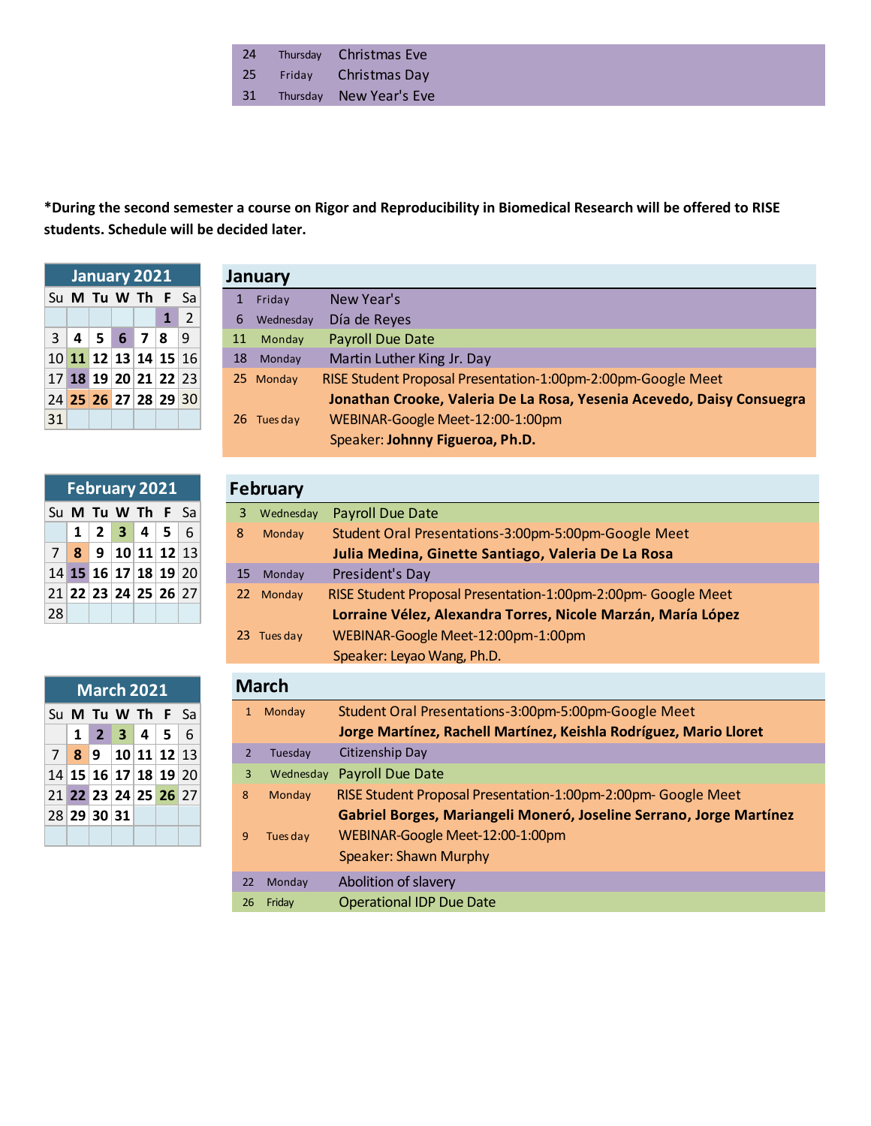| 24 | Thursday | <b>Christmas Eve</b> |
|----|----------|----------------------|
| 25 | Friday   | Christmas Day        |

Thursday New Year's Eve

## **\*During the second semester a course on Rigor and Reproducibility in Biomedical Research will be offered to RISE students. Schedule will be decided later.**

|    | January 2021           |  |                   |
|----|------------------------|--|-------------------|
|    | Su M Tu W Th F Sa      |  |                   |
|    |                        |  | $1 \vert 2 \vert$ |
|    | 3 4 5 6 7 8 9          |  |                   |
|    | $10$ 11 12 13 14 15 16 |  |                   |
|    | 17 18 19 20 21 22 23   |  |                   |
|    | 24 25 26 27 28 29 30   |  |                   |
| 31 |                        |  |                   |

|    |  | February 2021                                                       |  |  |
|----|--|---------------------------------------------------------------------|--|--|
|    |  | Su M Tu W Th F Sa                                                   |  |  |
|    |  | $1 \mid 2 \mid 3 \mid 4 \mid 5 \mid 6$                              |  |  |
|    |  | $7 \,   \, 8 \,   \, 9 \,   \, 10 \,   \, 11 \,   \, 12 \,   \, 13$ |  |  |
|    |  | 14 15 16 17 18 19 20                                                |  |  |
|    |  | 21 22 23 24 25 26 27                                                |  |  |
| 28 |  |                                                                     |  |  |

|  | March 2021                                                          |  |  |
|--|---------------------------------------------------------------------|--|--|
|  | Su M Tu W Th F Sa                                                   |  |  |
|  | $1 \t2 \t3 \t4 \t5 \t6$                                             |  |  |
|  | $7 \,   \, 8 \,   \, 9 \,   \, 10 \,   \, 11 \,   \, 12 \,   \, 13$ |  |  |
|  | 14 15 16 17 18 19 20                                                |  |  |
|  | 21 22 23 24 25 26 27                                                |  |  |
|  | 28 29 30 31                                                         |  |  |
|  |                                                                     |  |  |

| January     |                                                                       |
|-------------|-----------------------------------------------------------------------|
| 1 Friday    | New Year's                                                            |
| 6 Wednesday | Día de Reyes                                                          |
| 11 Monday   | Payroll Due Date                                                      |
| 18 Monday   | Martin Luther King Jr. Day                                            |
| 25 Monday   | RISE Student Proposal Presentation-1:00pm-2:00pm-Google Meet          |
|             | Jonathan Crooke, Valeria De La Rosa, Yesenia Acevedo, Daisy Consuegra |
| 26 Tues day | WEBINAR-Google Meet-12:00-1:00pm                                      |
|             | Speaker: Johnny Figueroa, Ph.D.                                       |

| February    |                                                              |  |  |  |
|-------------|--------------------------------------------------------------|--|--|--|
| 3 Wednesday | Payroll Due Date                                             |  |  |  |
| Monday      | Student Oral Presentations-3:00pm-5:00pm-Google Meet         |  |  |  |
|             | Julia Medina, Ginette Santiago, Valeria De La Rosa           |  |  |  |
| 15 Monday   | President's Day                                              |  |  |  |
| 22 Monday   | RISE Student Proposal Presentation-1:00pm-2:00pm-Google Meet |  |  |  |
|             | Lorraine Vélez, Alexandra Torres, Nicole Marzán, María López |  |  |  |
| 23 Tues day | WEBINAR-Google Meet-12:00pm-1:00pm                           |  |  |  |
|             | Speaker: Leyao Wang, Ph.D.                                   |  |  |  |
|             |                                                              |  |  |  |

| <b>March</b>   |           |                                                                     |  |  |  |
|----------------|-----------|---------------------------------------------------------------------|--|--|--|
| $\mathbf{1}$   | Monday    | Student Oral Presentations-3:00pm-5:00pm-Google Meet                |  |  |  |
|                |           | Jorge Martínez, Rachell Martínez, Keishla Rodríguez, Mario Lloret   |  |  |  |
| $\overline{2}$ | Tuesday   | Citizenship Day                                                     |  |  |  |
| 3              | Wednesday | Payroll Due Date                                                    |  |  |  |
| 8              | Monday    | RISE Student Proposal Presentation-1:00pm-2:00pm- Google Meet       |  |  |  |
|                |           | Gabriel Borges, Mariangeli Moneró, Joseline Serrano, Jorge Martínez |  |  |  |
| 9              | Tues day  | WEBINAR-Google Meet-12:00-1:00pm                                    |  |  |  |
|                |           | <b>Speaker: Shawn Murphy</b>                                        |  |  |  |
| 22             | Monday    | Abolition of slavery                                                |  |  |  |
| 26             | Friday    | <b>Operational IDP Due Date</b>                                     |  |  |  |